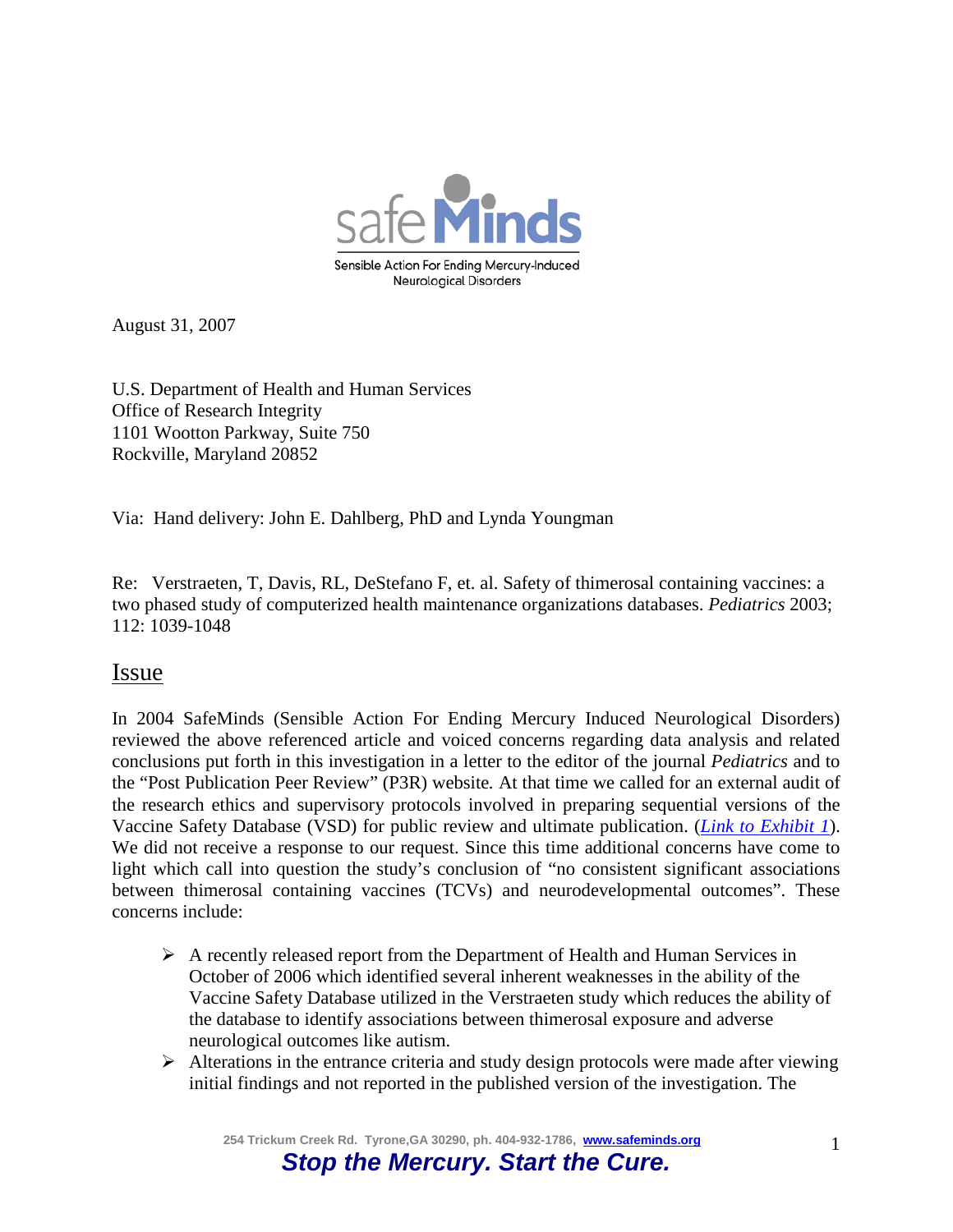

August 31, 2007

U.S. Department of Health and Human Services Office of Research Integrity 1101 Wootton Parkway, Suite 750 Rockville, Maryland 20852

Via: Hand delivery: John E. Dahlberg, PhD and Lynda Youngman

Re: Verstraeten, T, Davis, RL, DeStefano F, et. al. Safety of thimerosal containing vaccines: a two phased study of computerized health maintenance organizations databases. *Pediatrics* 2003; 112: 1039-1048

## Issue

In 2004 SafeMinds (Sensible Action For Ending Mercury Induced Neurological Disorders) reviewed the above referenced article and voiced concerns regarding data analysis and related conclusions put forth in this investigation in a letter to the editor of the journal *Pediatrics* and to the "Post Publication Peer Review" (P3R) website*.* At that time we called for an external audit of the research ethics and supervisory protocols involved in preparing sequential versions of the Vaccine Safety Database (VSD) for public review and ultimate publication. (*[Link to Exhibit 1](http://pediatrics.aappublications.org/content/112/5/1039/reply#pediatrics_el_547)*). We did not receive a response to our request. Since this time additional concerns have come to light which call into question the study's conclusion of "no consistent significant associations between thimerosal containing vaccines (TCVs) and neurodevelopmental outcomes". These concerns include:

- $\triangleright$  A recently released report from the Department of Health and Human Services in October of 2006 which identified several inherent weaknesses in the ability of the Vaccine Safety Database utilized in the Verstraeten study which reduces the ability of the database to identify associations between thimerosal exposure and adverse neurological outcomes like autism.
- $\triangleright$  Alterations in the entrance criteria and study design protocols were made after viewing initial findings and not reported in the published version of the investigation. The

**254 Trickum Creek Rd. Tyrone,GA 30290, ph. 404-932-1786, [www.safeminds.org](http://www.safeminds.org/)**

# *Stop the Mercury. Start the Cure.*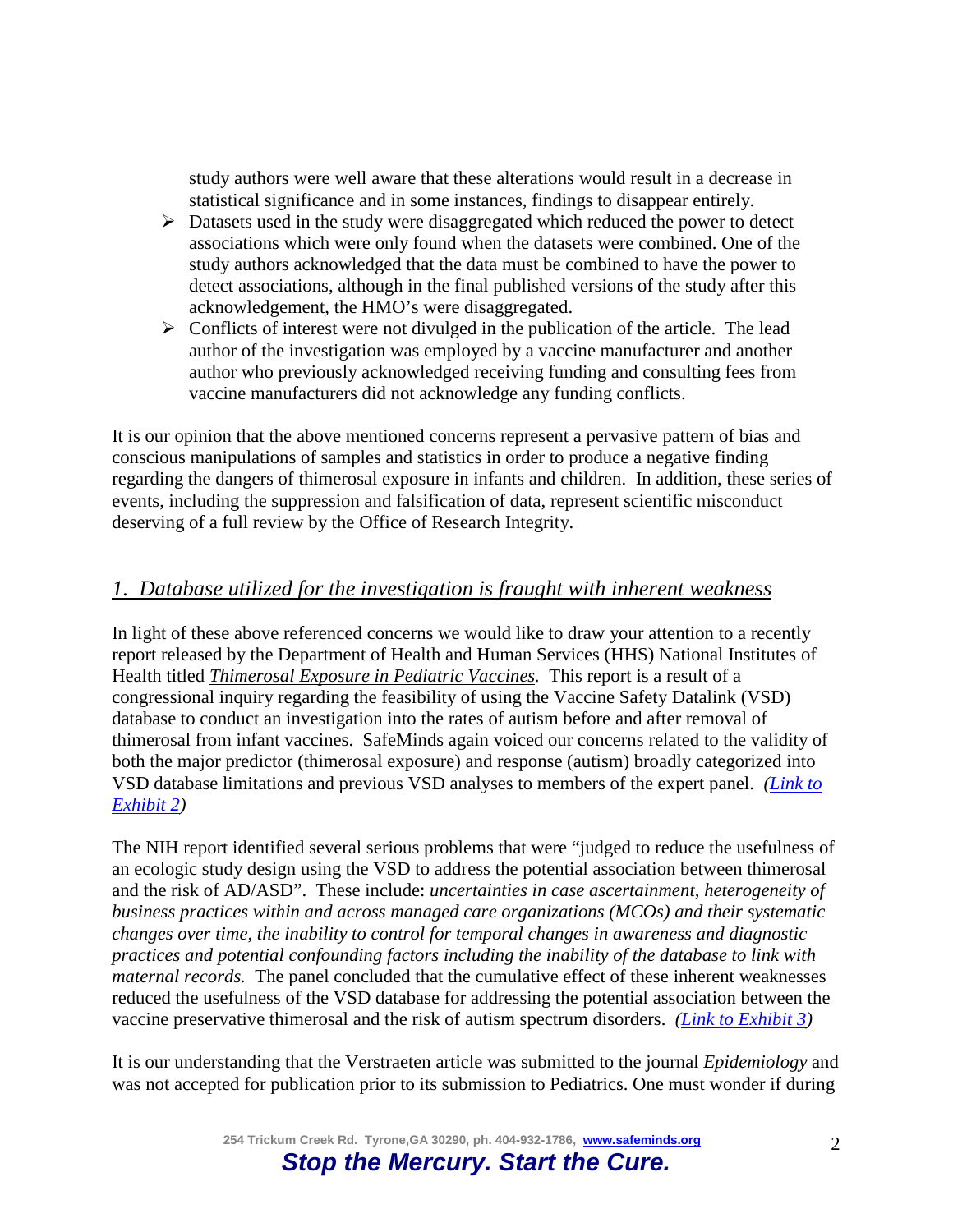study authors were well aware that these alterations would result in a decrease in statistical significance and in some instances, findings to disappear entirely.

- $\triangleright$  Datasets used in the study were disaggregated which reduced the power to detect associations which were only found when the datasets were combined. One of the study authors acknowledged that the data must be combined to have the power to detect associations, although in the final published versions of the study after this acknowledgement, the HMO's were disaggregated.
- $\triangleright$  Conflicts of interest were not divulged in the publication of the article. The lead author of the investigation was employed by a vaccine manufacturer and another author who previously acknowledged receiving funding and consulting fees from vaccine manufacturers did not acknowledge any funding conflicts.

It is our opinion that the above mentioned concerns represent a pervasive pattern of bias and conscious manipulations of samples and statistics in order to produce a negative finding regarding the dangers of thimerosal exposure in infants and children. In addition, these series of events, including the suppression and falsification of data, represent scientific misconduct deserving of a full review by the Office of Research Integrity.

#### *1. Database utilized for the investigation is fraught with inherent weakness*

In light of these above referenced concerns we would like to draw your attention to a recently report released by the Department of Health and Human Services (HHS) National Institutes of Health titled *Thimerosal Exposure in Pediatric Vaccines.* This report is a result of a congressional inquiry regarding the feasibility of using the Vaccine Safety Datalink (VSD) database to conduct an investigation into the rates of autism before and after removal of thimerosal from infant vaccines. SafeMinds again voiced our concerns related to the validity of both the major predictor (thimerosal exposure) and response (autism) broadly categorized into VSD database limitations and previous VSD analyses to members of the expert panel. *[\(Link to](http://www.safeminds.org/wp-content/uploads/2014/03/AAP-leterr-regarding-Verstraeten-VSD.draft_.doc)  [Exhibit 2\)](http://www.safeminds.org/wp-content/uploads/2014/03/AAP-leterr-regarding-Verstraeten-VSD.draft_.doc)*

The NIH report identified several serious problems that were "judged to reduce the usefulness of an ecologic study design using the VSD to address the potential association between thimerosal and the risk of AD/ASD". These include: *uncertainties in case ascertainment, heterogeneity of business practices within and across managed care organizations (MCOs) and their systematic changes over time, the inability to control for temporal changes in awareness and diagnostic practices and potential confounding factors including the inability of the database to link with maternal records.* The panel concluded that the cumulative effect of these inherent weaknesses reduced the usefulness of the VSD database for addressing the potential association between the vaccine preservative thimerosal and the risk of autism spectrum disorders. *[\(Link to Exhibit 3\)](http://www.safeminds.org/wp-content/uploads/2014/03/NIEHS-VSD-report-FINAL-10-26-06.pdf)*

It is our understanding that the Verstraeten article was submitted to the journal *Epidemiology* and was not accepted for publication prior to its submission to Pediatrics. One must wonder if during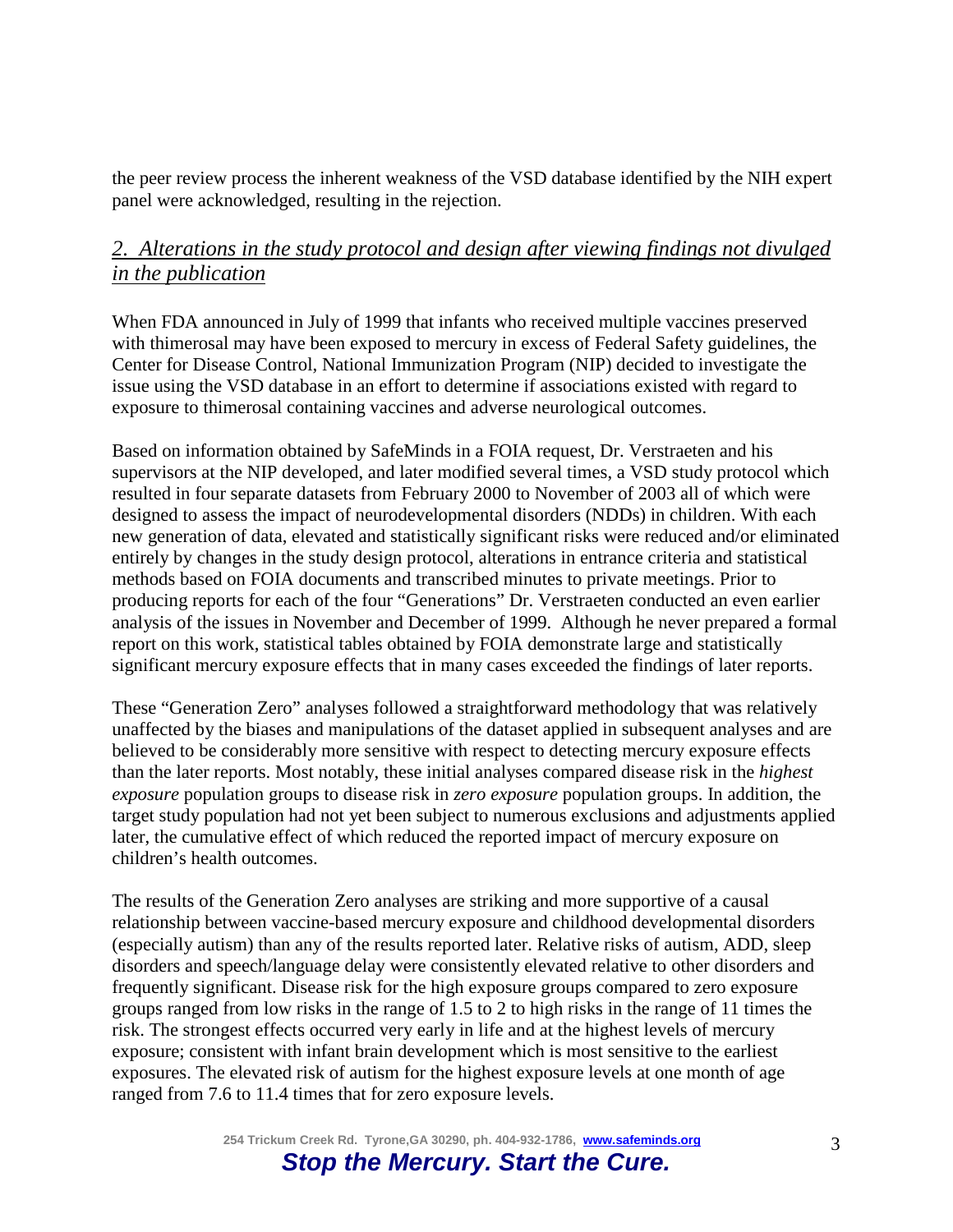the peer review process the inherent weakness of the VSD database identified by the NIH expert panel were acknowledged, resulting in the rejection.

# *2. Alterations in the study protocol and design after viewing findings not divulged in the publication*

When FDA announced in July of 1999 that infants who received multiple vaccines preserved with thimerosal may have been exposed to mercury in excess of Federal Safety guidelines, the Center for Disease Control, National Immunization Program (NIP) decided to investigate the issue using the VSD database in an effort to determine if associations existed with regard to exposure to thimerosal containing vaccines and adverse neurological outcomes.

Based on information obtained by SafeMinds in a FOIA request, Dr. Verstraeten and his supervisors at the NIP developed, and later modified several times, a VSD study protocol which resulted in four separate datasets from February 2000 to November of 2003 all of which were designed to assess the impact of neurodevelopmental disorders (NDDs) in children. With each new generation of data, elevated and statistically significant risks were reduced and/or eliminated entirely by changes in the study design protocol, alterations in entrance criteria and statistical methods based on FOIA documents and transcribed minutes to private meetings. Prior to producing reports for each of the four "Generations" Dr. Verstraeten conducted an even earlier analysis of the issues in November and December of 1999. Although he never prepared a formal report on this work, statistical tables obtained by FOIA demonstrate large and statistically significant mercury exposure effects that in many cases exceeded the findings of later reports.

These "Generation Zero" analyses followed a straightforward methodology that was relatively unaffected by the biases and manipulations of the dataset applied in subsequent analyses and are believed to be considerably more sensitive with respect to detecting mercury exposure effects than the later reports. Most notably, these initial analyses compared disease risk in the *highest exposure* population groups to disease risk in *zero exposure* population groups. In addition, the target study population had not yet been subject to numerous exclusions and adjustments applied later, the cumulative effect of which reduced the reported impact of mercury exposure on children's health outcomes.

The results of the Generation Zero analyses are striking and more supportive of a causal relationship between vaccine-based mercury exposure and childhood developmental disorders (especially autism) than any of the results reported later. Relative risks of autism, ADD, sleep disorders and speech/language delay were consistently elevated relative to other disorders and frequently significant. Disease risk for the high exposure groups compared to zero exposure groups ranged from low risks in the range of 1.5 to 2 to high risks in the range of 11 times the risk. The strongest effects occurred very early in life and at the highest levels of mercury exposure; consistent with infant brain development which is most sensitive to the earliest exposures. The elevated risk of autism for the highest exposure levels at one month of age ranged from 7.6 to 11.4 times that for zero exposure levels.

> **254 Trickum Creek Rd. Tyrone,GA 30290, ph. 404-932-1786, [www.safeminds.org](http://www.safeminds.org/)** *Stop the Mercury. Start the Cure.*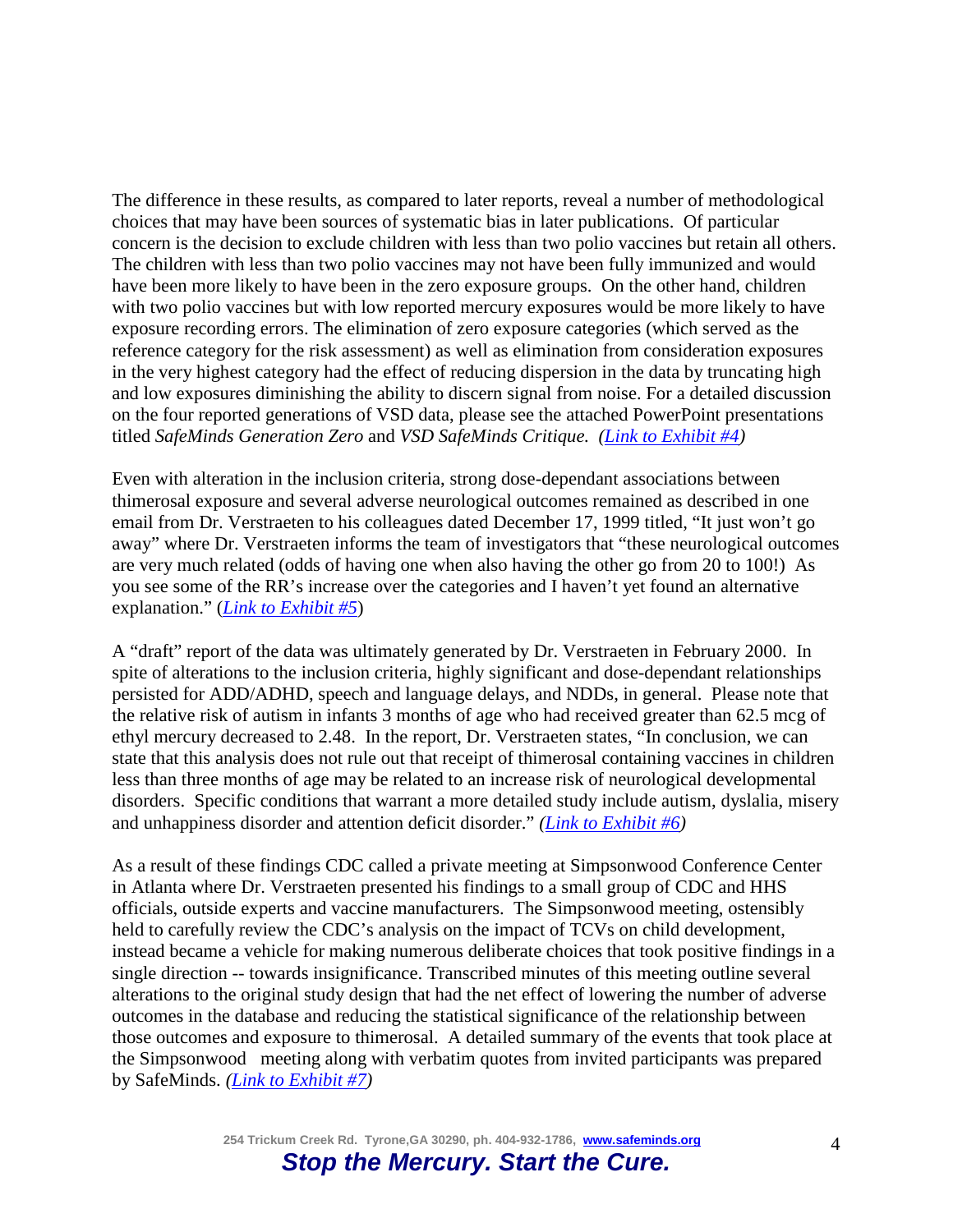The difference in these results, as compared to later reports, reveal a number of methodological choices that may have been sources of systematic bias in later publications. Of particular concern is the decision to exclude children with less than two polio vaccines but retain all others. The children with less than two polio vaccines may not have been fully immunized and would have been more likely to have been in the zero exposure groups. On the other hand, children with two polio vaccines but with low reported mercury exposures would be more likely to have exposure recording errors. The elimination of zero exposure categories (which served as the reference category for the risk assessment) as well as elimination from consideration exposures in the very highest category had the effect of reducing dispersion in the data by truncating high and low exposures diminishing the ability to discern signal from noise. For a detailed discussion on the four reported generations of VSD data, please see the attached PowerPoint presentations titled *SafeMinds Generation Zero* and *VSD SafeMinds Critique. [\(Link to Exhibit #4\)](http://www.safeminds.org/research/library/GenerationZeroPowerPoint.pdf%20%20and%20http:/www.safeminds.org/research/Analysis%20and%20Critique%20of%20the%20CDC%27s%20Handling%20of%20the%20Thimerosal%20Exposure%20Assessment%20Based%20on%20VSD%20Information.pdf)*

Even with alteration in the inclusion criteria, strong dose-dependant associations between thimerosal exposure and several adverse neurological outcomes remained as described in one email from Dr. Verstraeten to his colleagues dated December 17, 1999 titled, "It just won't go away" where Dr. Verstraeten informs the team of investigators that "these neurological outcomes are very much related (odds of having one when also having the other go from 20 to 100!) As you see some of the RR's increase over the categories and I haven't yet found an alternative explanation." (*[Link to Exhibit #5](http://www.safeminds.org/wp-content/uploads/2014/03/Verstraeten-cdc-emails-December-99-April-00.pdf)*)

A "draft" report of the data was ultimately generated by Dr. Verstraeten in February 2000. In spite of alterations to the inclusion criteria, highly significant and dose-dependant relationships persisted for ADD/ADHD, speech and language delays, and NDDs, in general. Please note that the relative risk of autism in infants 3 months of age who had received greater than 62.5 mcg of ethyl mercury decreased to 2.48. In the report, Dr. Verstraeten states, "In conclusion, we can state that this analysis does not rule out that receipt of thimerosal containing vaccines in children less than three months of age may be related to an increase risk of neurological developmental disorders. Specific conditions that warrant a more detailed study include autism, dyslalia, misery and unhappiness disorder and attention deficit disorder." *[\(Link to Exhibit #6\)](http://www.safeminds.org/government-affairs/foia/ThimerosalVSDstudy001.pdf)*

As a result of these findings CDC called a private meeting at Simpsonwood Conference Center in Atlanta where Dr. Verstraeten presented his findings to a small group of CDC and HHS officials, outside experts and vaccine manufacturers. The Simpsonwood meeting, ostensibly held to carefully review the CDC's analysis on the impact of TCVs on child development, instead became a vehicle for making numerous deliberate choices that took positive findings in a single direction -- towards insignificance. Transcribed minutes of this meeting outline several alterations to the original study design that had the net effect of lowering the number of adverse outcomes in the database and reducing the statistical significance of the relationship between those outcomes and exposure to thimerosal. A detailed summary of the events that took place at the Simpsonwood meeting along with verbatim quotes from invited participants was prepared by SafeMinds. *[\(Link to Exhibit #7\)](http://www.safeminds.org/legislation/foia/Simpsonwood_Transcript.pdf)*

> **254 Trickum Creek Rd. Tyrone,GA 30290, ph. 404-932-1786, [www.safeminds.org](http://www.safeminds.org/)** *Stop the Mercury. Start the Cure.*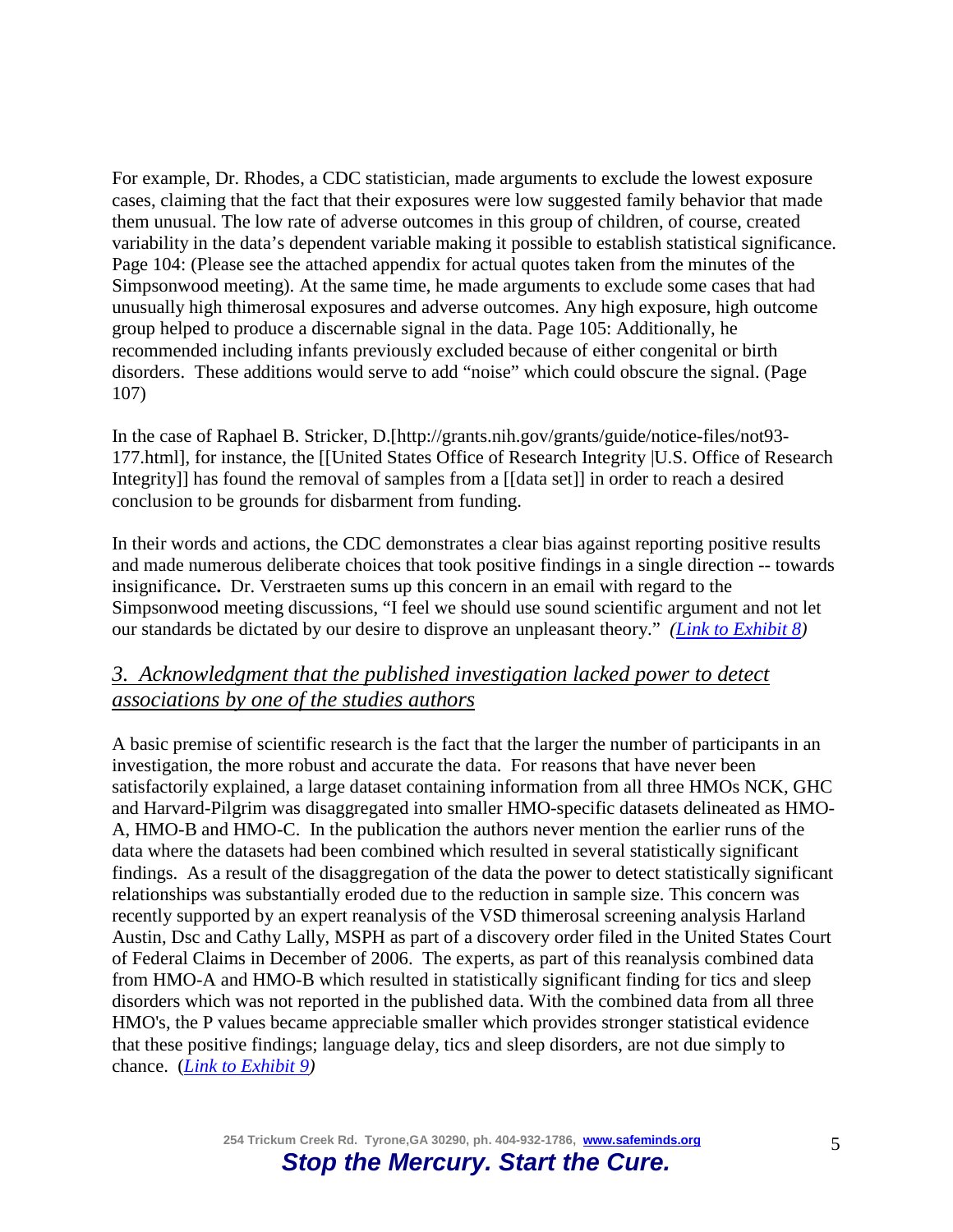For example, Dr. Rhodes, a CDC statistician, made arguments to exclude the lowest exposure cases, claiming that the fact that their exposures were low suggested family behavior that made them unusual. The low rate of adverse outcomes in this group of children, of course, created variability in the data's dependent variable making it possible to establish statistical significance. Page 104: (Please see the attached appendix for actual quotes taken from the minutes of the Simpsonwood meeting). At the same time, he made arguments to exclude some cases that had unusually high thimerosal exposures and adverse outcomes. Any high exposure, high outcome group helped to produce a discernable signal in the data. Page 105: Additionally, he recommended including infants previously excluded because of either congenital or birth disorders. These additions would serve to add "noise" which could obscure the signal. (Page 107)

In the case of Raphael B. Stricker, D.[http://grants.nih.gov/grants/guide/notice-files/not93- 177.html], for instance, the [[United States Office of Research Integrity |U.S. Office of Research Integrity]] has found the removal of samples from a [[data set]] in order to reach a desired conclusion to be grounds for disbarment from funding.

In their words and actions, the CDC demonstrates a clear bias against reporting positive results and made numerous deliberate choices that took positive findings in a single direction -- towards insignificance**.** Dr. Verstraeten sums up this concern in an email with regard to the Simpsonwood meeting discussions, "I feel we should use sound scientific argument and not let our standards be dictated by our desire to disprove an unpleasant theory." *[\(Link to Exhibit 8\)](http://www.safeminds.org/wp-content/uploads/2014/03/Verstraeten-emails-to-Grandjean.pdf)*

## *3. Acknowledgment that the published investigation lacked power to detect associations by one of the studies authors*

A basic premise of scientific research is the fact that the larger the number of participants in an investigation, the more robust and accurate the data. For reasons that have never been satisfactorily explained, a large dataset containing information from all three HMOs NCK, GHC and Harvard-Pilgrim was disaggregated into smaller HMO-specific datasets delineated as HMO-A, HMO-B and HMO-C. In the publication the authors never mention the earlier runs of the data where the datasets had been combined which resulted in several statistically significant findings. As a result of the disaggregation of the data the power to detect statistically significant relationships was substantially eroded due to the reduction in sample size. This concern was recently supported by an expert reanalysis of the VSD thimerosal screening analysis Harland Austin, Dsc and Cathy Lally, MSPH as part of a discovery order filed in the United States Court of Federal Claims in December of 2006. The experts, as part of this reanalysis combined data from HMO-A and HMO-B which resulted in statistically significant finding for tics and sleep disorders which was not reported in the published data. With the combined data from all three HMO's, the P values became appreciable smaller which provides stronger statistical evidence that these positive findings; language delay, tics and sleep disorders, are not due simply to chance. (*[Link to Exhibit 9\)](http://www.safeminds.org/wp-content/uploads/2014/03/Austin-Lally-VSD-reanalysis.pdf)*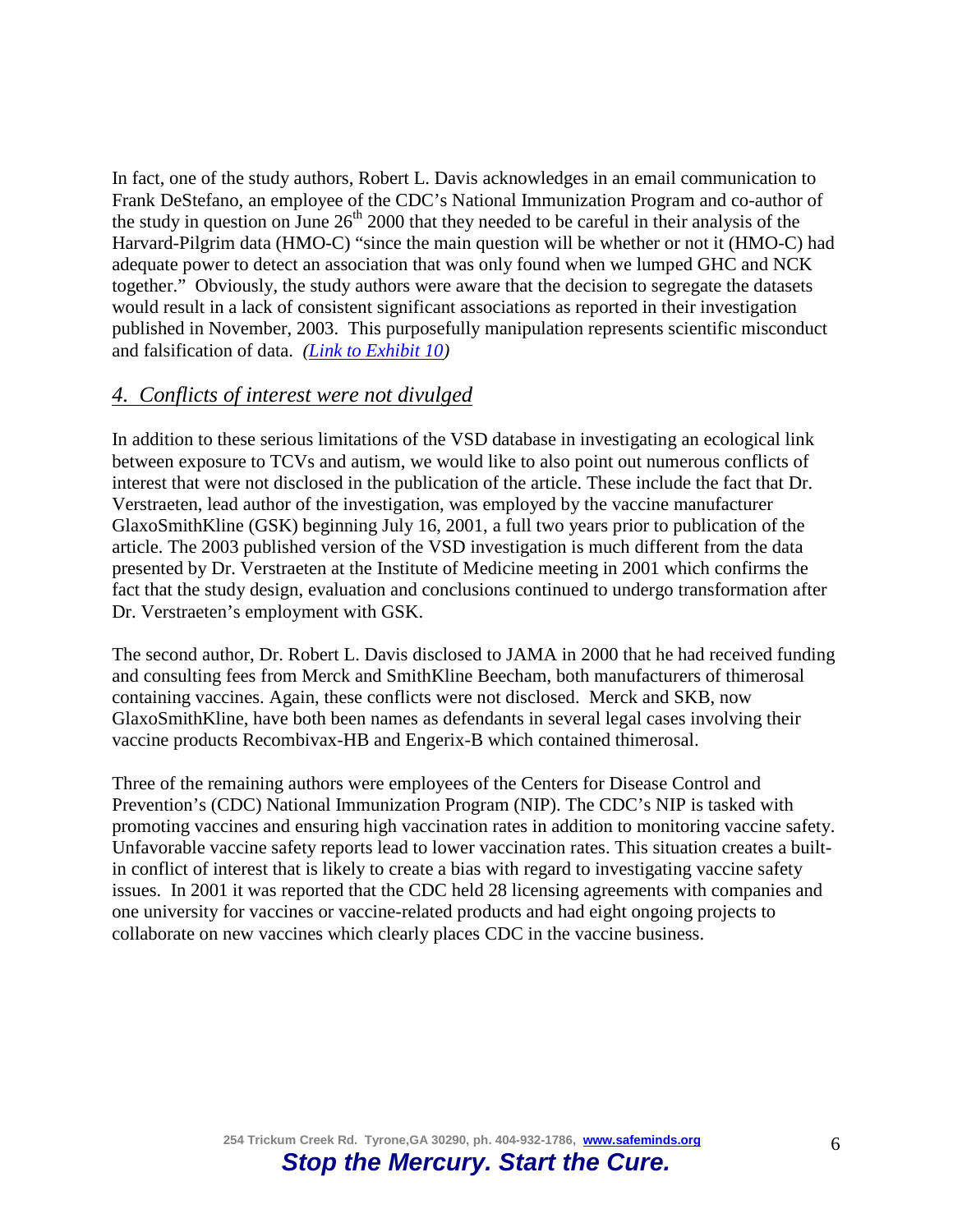In fact, one of the study authors, Robert L. Davis acknowledges in an email communication to Frank DeStefano, an employee of the CDC's National Immunization Program and co-author of the study in question on June  $26<sup>th</sup> 2000$  that they needed to be careful in their analysis of the Harvard-Pilgrim data (HMO-C) "since the main question will be whether or not it (HMO-C) had adequate power to detect an association that was only found when we lumped GHC and NCK together." Obviously, the study authors were aware that the decision to segregate the datasets would result in a lack of consistent significant associations as reported in their investigation published in November, 2003. This purposefully manipulation represents scientific misconduct and falsification of data. *[\(Link to Exhibit 10\)](http://www.safeminds.org/wp-content/uploads/2014/03/Davis-email.pdf)*

#### *4. Conflicts of interest were not divulged*

In addition to these serious limitations of the VSD database in investigating an ecological link between exposure to TCVs and autism, we would like to also point out numerous conflicts of interest that were not disclosed in the publication of the article. These include the fact that Dr. Verstraeten, lead author of the investigation, was employed by the vaccine manufacturer GlaxoSmithKline (GSK) beginning July 16, 2001, a full two years prior to publication of the article. The 2003 published version of the VSD investigation is much different from the data presented by Dr. Verstraeten at the Institute of Medicine meeting in 2001 which confirms the fact that the study design, evaluation and conclusions continued to undergo transformation after Dr. Verstraeten's employment with GSK.

The second author, Dr. Robert L. Davis disclosed to JAMA in 2000 that he had received funding and consulting fees from Merck and SmithKline Beecham, both manufacturers of thimerosal containing vaccines. Again, these conflicts were not disclosed. Merck and SKB, now GlaxoSmithKline, have both been names as defendants in several legal cases involving their vaccine products Recombivax-HB and Engerix-B which contained thimerosal.

Three of the remaining authors were employees of the Centers for Disease Control and Prevention's (CDC) National Immunization Program (NIP). The CDC's NIP is tasked with promoting vaccines and ensuring high vaccination rates in addition to monitoring vaccine safety. Unfavorable vaccine safety reports lead to lower vaccination rates. This situation creates a builtin conflict of interest that is likely to create a bias with regard to investigating vaccine safety issues.In 2001 it was reported that the CDC held 28 licensing agreements with companies and one university for vaccines or vaccine-related products and had eight ongoing projects to collaborate on new vaccines which clearly places CDC in the vaccine business.